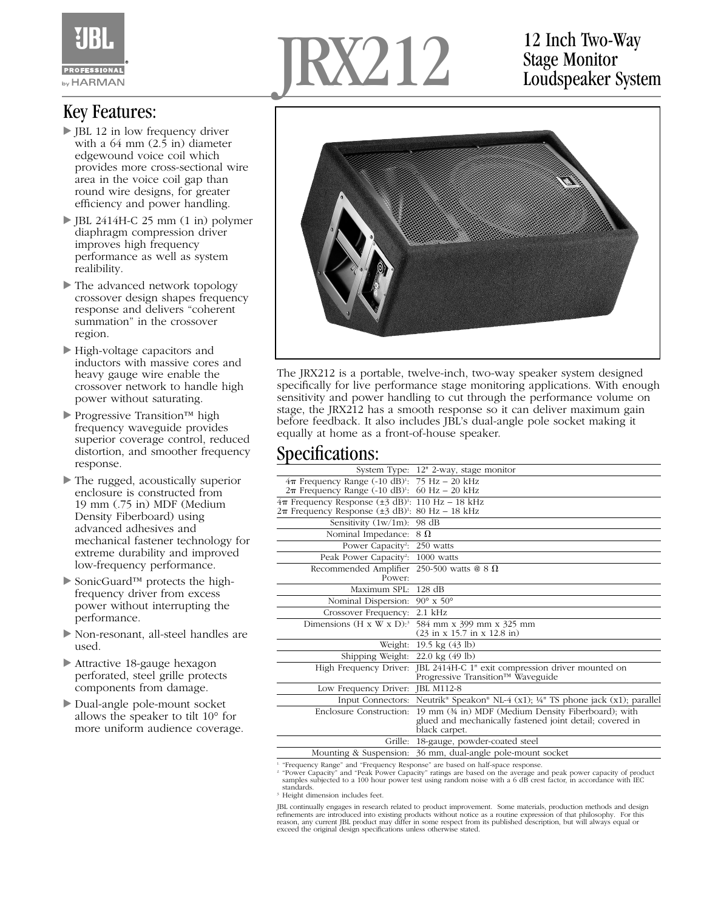

## Key Features:

- JBL 12 in low frequency driver with a 64 mm (2.5 in) diameter edgewound voice coil which provides more cross-sectional wire area in the voice coil gap than round wire designs, for greater efficiency and power handling.
- JBL 2414H-C 25 mm (1 in) polymer diaphragm compression driver improves high frequency performance as well as system realibility.
- The advanced network topology crossover design shapes frequency response and delivers "coherent summation" in the crossover region.
- High-voltage capacitors and inductors with massive cores and heavy gauge wire enable the crossover network to handle high power without saturating.
- ▶ Progressive Transition™ high frequency waveguide provides superior coverage control, reduced distortion, and smoother frequency response.
- The rugged, acoustically superior enclosure is constructed from 19 mm (.75 in) MDF (Medium Density Fiberboard) using advanced adhesives and mechanical fastener technology for extreme durability and improved low-frequency performance.
- ► SonicGuard™ protects the highfrequency driver from excess power without interrupting the performance.
- Non-resonant, all-steel handles are used.
- Attractive 18-gauge hexagon perforated, steel grille protects components from damage.
- Dual-angle pole-mount socket allows the speaker to tilt 10° for more uniform audience coverage.



## 12 Inch Two-Way Stage Monitor Loudspeaker System



The JRX212 is a portable, twelve-inch, two-way speaker system designed specifically for live performance stage monitoring applications. With enough sensitivity and power handling to cut through the performance volume on stage, the JRX212 has a smooth response so it can deliver maximum gain before feedback. It also includes JBL's dual-angle pole socket making it equally at home as a front-of-house speaker.

## Specifications:

|                                                                                                                                                | System Type: 12" 2-way, stage monitor                                                                                            |
|------------------------------------------------------------------------------------------------------------------------------------------------|----------------------------------------------------------------------------------------------------------------------------------|
| $4\pi$ Frequency Range (-10 dB) <sup>1</sup> : 75 Hz - 20 kHz<br>$2\pi$ Frequency Range (-10 dB) <sup>1</sup> : 60 Hz - 20 kHz                 |                                                                                                                                  |
| $4\pi$ Frequency Response ( $\pm$ 3 dB) <sup>1</sup> : 110 Hz – 18 kHz<br>$2\pi$ Frequency Response $(\pm 3$ dB) <sup>1</sup> : 80 Hz - 18 kHz |                                                                                                                                  |
| Sensitivity (1w/1m): 98 dB                                                                                                                     |                                                                                                                                  |
| Nominal Impedance:                                                                                                                             | $8\Omega$                                                                                                                        |
| Power Capacity <sup>2</sup> : 250 watts                                                                                                        |                                                                                                                                  |
| Peak Power Capacity <sup>2</sup> :                                                                                                             | 1000 watts                                                                                                                       |
| Recommended Amplifier<br>Power:                                                                                                                | 250-500 watts @ $8 \Omega$                                                                                                       |
| Maximum SPL:                                                                                                                                   | $128$ dB                                                                                                                         |
| Nominal Dispersion:                                                                                                                            | 90 $\textdegree$ x 50 $\textdegree$                                                                                              |
| Crossover Frequency:                                                                                                                           | $2.1$ kHz                                                                                                                        |
|                                                                                                                                                | Dimensions (H x W x D): <sup>3</sup> 584 mm x 399 mm x 325 mm<br>$(23 \text{ in } x 15.7 \text{ in } x 12.8 \text{ in})$         |
| Weight:                                                                                                                                        | 19.5 kg (43 lb)                                                                                                                  |
| Shipping Weight:                                                                                                                               | $22.0 \text{ kg} (49 \text{ lb})$                                                                                                |
| High Frequency Driver:                                                                                                                         | JBL 2414H-C 1" exit compression driver mounted on<br>Progressive Transition™ Waveguide                                           |
| Low Frequency Driver:                                                                                                                          | <b>JBL M112-8</b>                                                                                                                |
| Input Connectors:                                                                                                                              | Neutrik <sup>®</sup> Speakon <sup>®</sup> NL-4 (x1); ¼ <sup>®</sup> TS phone jack (x1); parallel                                 |
| Enclosure Construction:                                                                                                                        | 19 mm (34 in) MDF (Medium Density Fiberboard); with<br>glued and mechanically fastened joint detail; covered in<br>black carpet. |
| Grille:                                                                                                                                        | 18-gauge, powder-coated steel                                                                                                    |
| Mounting & Suspension:                                                                                                                         | 36 mm, dual-angle pole-mount socket                                                                                              |
| <sup>1</sup> "Frequency Range" and "Frequency Response" are based on half-space response.                                                      |                                                                                                                                  |

i "Frequency Range" and "Frequency Response" are based on half-space response.<br><sup>2</sup> "Power Capacity" and "Peak Power Capacity" ratings are based on the average and peak power capacity of product<br>5 samples subjected to a 100

standards.

<sup>3</sup> Height dimension includes feet.

JBL continually engages in research related to product improvement. Some materials, production methods and design refinements are introduced into existing products without notice as a routine expression of that philosophy. For this reason, any current JBL product may differ in some respect from its published description, but will always equal or exceed the original design specifications unless otherwise stated.